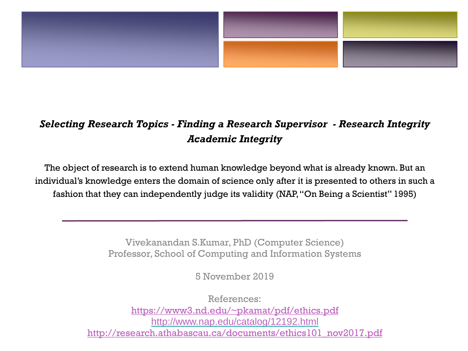

#### *Selecting Research Topics - Finding a Research Supervisor - Research Integrity Academic Integrity*

The object of research is to extend human knowledge beyond what is already known. But an individual's knowledge enters the domain of science only after it is presented to others in such a fashion that they can independently judge its validity (NAP, "On Being a Scientist" 1995)

> Vivekanandan S.Kumar, PhD (Computer Science) Professor, School of Computing and Information Systems

> > 5 November 2019

References: [https://www3.nd.edu/~pkamat/pdf/ethics.pdf](https://www3.nd.edu/%7Epkamat/pdf/ethics.pdf) <http://www.nap.edu/catalog/12192.html> [http://research.athabascau.ca/documents/ethics101\\_nov2017.pdf](http://research.athabascau.ca/documents/ethics101_nov2017.pdf)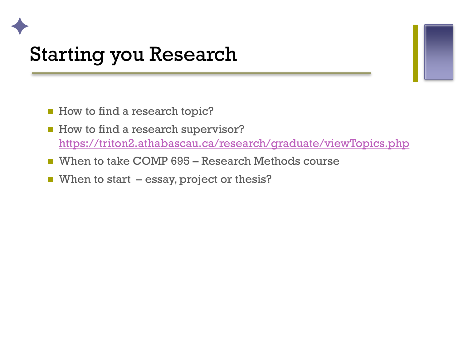#### Starting you Research

✦

- How to find a research topic?
- How to find a research supervisor? <https://triton2.athabascau.ca/research/graduate/viewTopics.php>
- When to take COMP 695 Research Methods course
- When to start essay, project or thesis?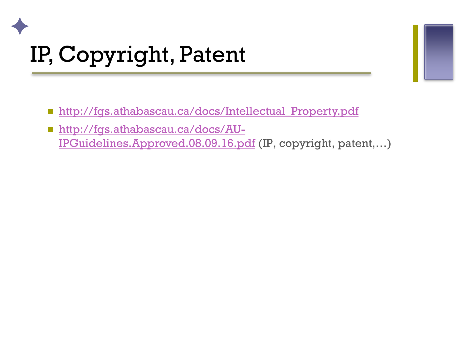## ✦ IP, Copyright, Patent

- **http://fgs.athabascau.ca/docs/Intellectual Property.pdf**
- http://fgs.athabascau.ca/docs/AU-[IPGuidelines.Approved.08.09.16.pdf](http://fgs.athabascau.ca/docs/AU-IPGuidelines.Approved.08.09.16.pdf) (IP, copyright, patent,…)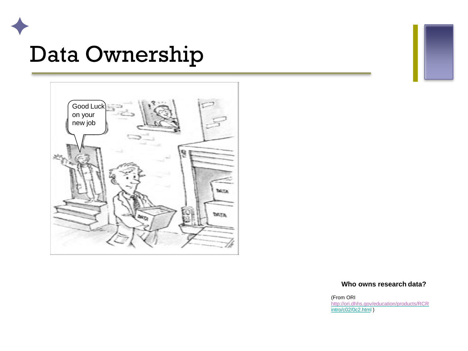



#### **Who owns research data?**

(From ORI <http://ori.dhhs.gov/education/products/RCR>

intro/c02/0c2.html )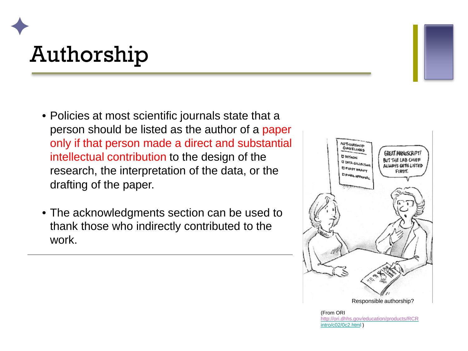#### ✦ Authorship

- Policies at most scientific journals state that a person should be listed as the author of a paper only if that person made a direct and substantial intellectual contribution to the design of the research, the interpretation of the data, or the drafting of the paper.
- The acknowledgments section can be used to thank those who indirectly contributed to the work.



(From ORI <http://ori.dhhs.gov/education/products/RCR> intro/c02/0c2.html )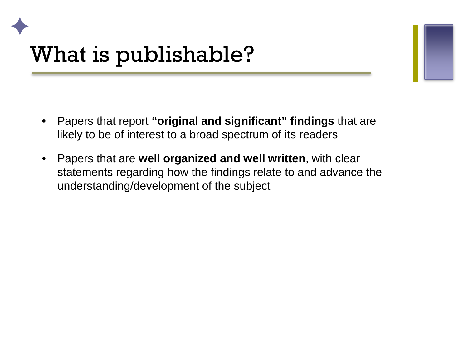#### ✦ What is publishable?

- Papers that report **"original and significant" findings** that are likely to be of interest to a broad spectrum of its readers
- Papers that are **well organized and well written**, with clear statements regarding how the findings relate to and advance the understanding/development of the subject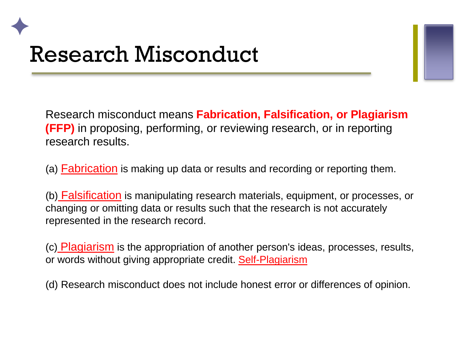#### ✦ Research Misconduct

Research misconduct means **Fabrication, Falsification, or Plagiarism (FFP)** in proposing, performing, or reviewing research, or in reporting research results.

(a) Fabrication is making up data or results and recording or reporting them.

(b) Falsification is manipulating research materials, equipment, or processes, or changing or omitting data or results such that the research is not accurately represented in the research record.

(c) Plagiarism is the appropriation of another person's ideas, processes, results, or words without giving appropriate credit. Self-Plagiarism

(d) Research misconduct does not include honest error or differences of opinion.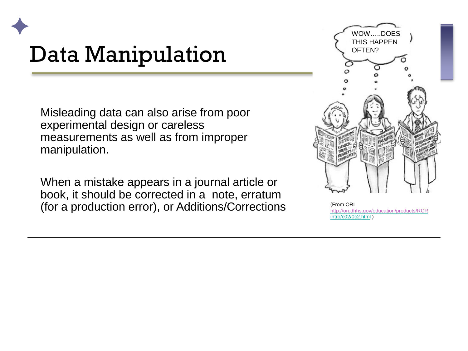#### ✦ Data Manipulation

Misleading data can also arise from poor experimental design or careless measurements as well as from improper manipulation.

When a mistake appears in a journal article or book, it should be corrected in a note, erratum (for a production error), or Additions/Corrections (From ORI) (From ORI)



<http://ori.dhhs.gov/education/products/RCR> intro/c02/0c2.html )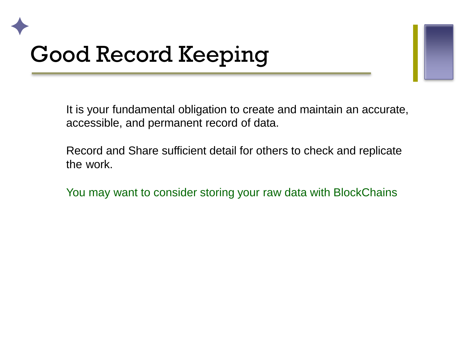### ✦ Good Record Keeping

It is your fundamental obligation to create and maintain an accurate, accessible, and permanent record of data.

Record and Share sufficient detail for others to check and replicate the work.

You may want to consider storing your raw data with BlockChains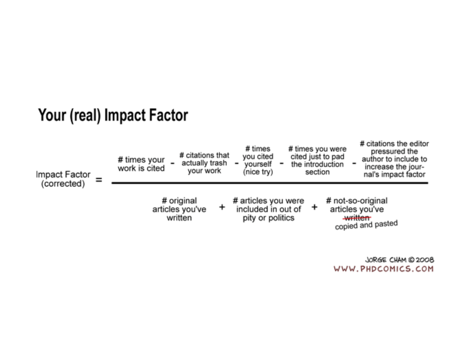#### Your (real) Impact Factor

| Impact Factor<br>(corrected) | # citations that<br># times your<br>actually trash<br>work is cited<br>your work | # times<br># times you were<br>you cited<br>cited just to pad<br>m.<br>yourself<br>the introduction<br>(nice try)<br>section | # citations the editor<br>pressured the<br>author to include to<br>increase the jour-<br>nal's impact factor |
|------------------------------|----------------------------------------------------------------------------------|------------------------------------------------------------------------------------------------------------------------------|--------------------------------------------------------------------------------------------------------------|
|                              | # original<br>articles you've<br>written                                         | # articles you were<br>included in out of<br>pity or politics                                                                | # not-so-original<br>articles you've<br>written<br>copied and pasted                                         |

JORGE CHAM @ 2008 WWW.PHDCOMICS.COM

# citations the editor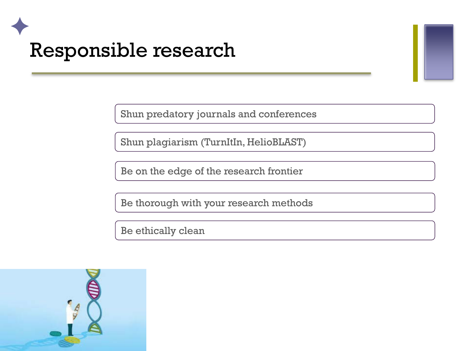#### ✦ Responsible research

Shun predatory journals and conferences

Shun plagiarism (TurnItIn, HelioBLAST)

Be on the edge of the research frontier

Be thorough with your research methods

Be ethically clean

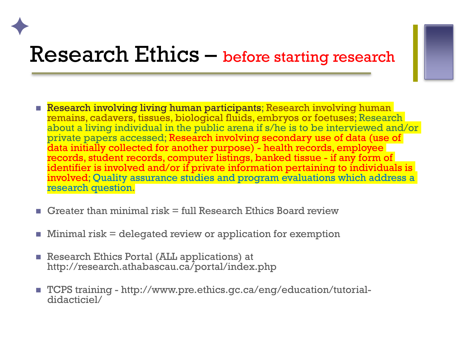#### Research Ethics – before starting research

- **Research involving living human participants; Research involving human** remains, cadavers, tissues, biological fluids, embryos or foetuses; Research about a living individual in the public arena if s/he is to be interviewed and/or private papers accessed; Research involving secondary use of data (use of data initially collected for another purpose) - health records, employee records, student records, computer listings, banked tissue - if any form of identifier is involved and/or if private information pertaining to individuals is involved; Quality assurance studies and program evaluations which address a research question.
- Greater than minimal risk  $=$  full Research Ethics Board review
- Minimal risk = delegated review or application for exemption
- **Research Ethics Portal (ALL applications) at** http://research.athabascau.ca/portal/index.php

✦

■ TCPS training - http://www.pre.ethics.gc.ca/eng/education/tutorial-<br>didacticiel/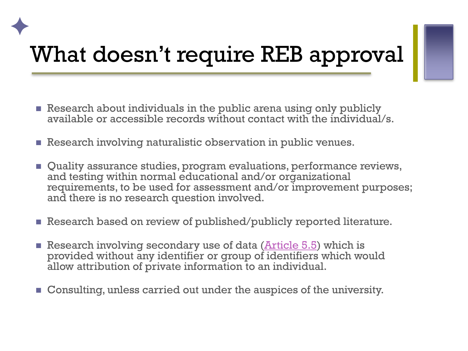### ✦ What doesn't require REB approval

- Research about individuals in the public arena using only publicly available or accessible records without contact with the individual/s.
- Research involving naturalistic observation in public venues.
- Quality assurance studies, program evaluations, performance reviews, and testing within normal educational and/or organizational requirements, to be used for assessment and/or improvement purposes; and there is no research question involved.
- Research based on review of published/publicly reported literature.
- Research involving secondary use of data (**Article 5.5**) which is provided without any identifier or group of identifiers which would allow attribution of private information to an individual.
- **Consulting, unless carried out under the auspices of the university.**